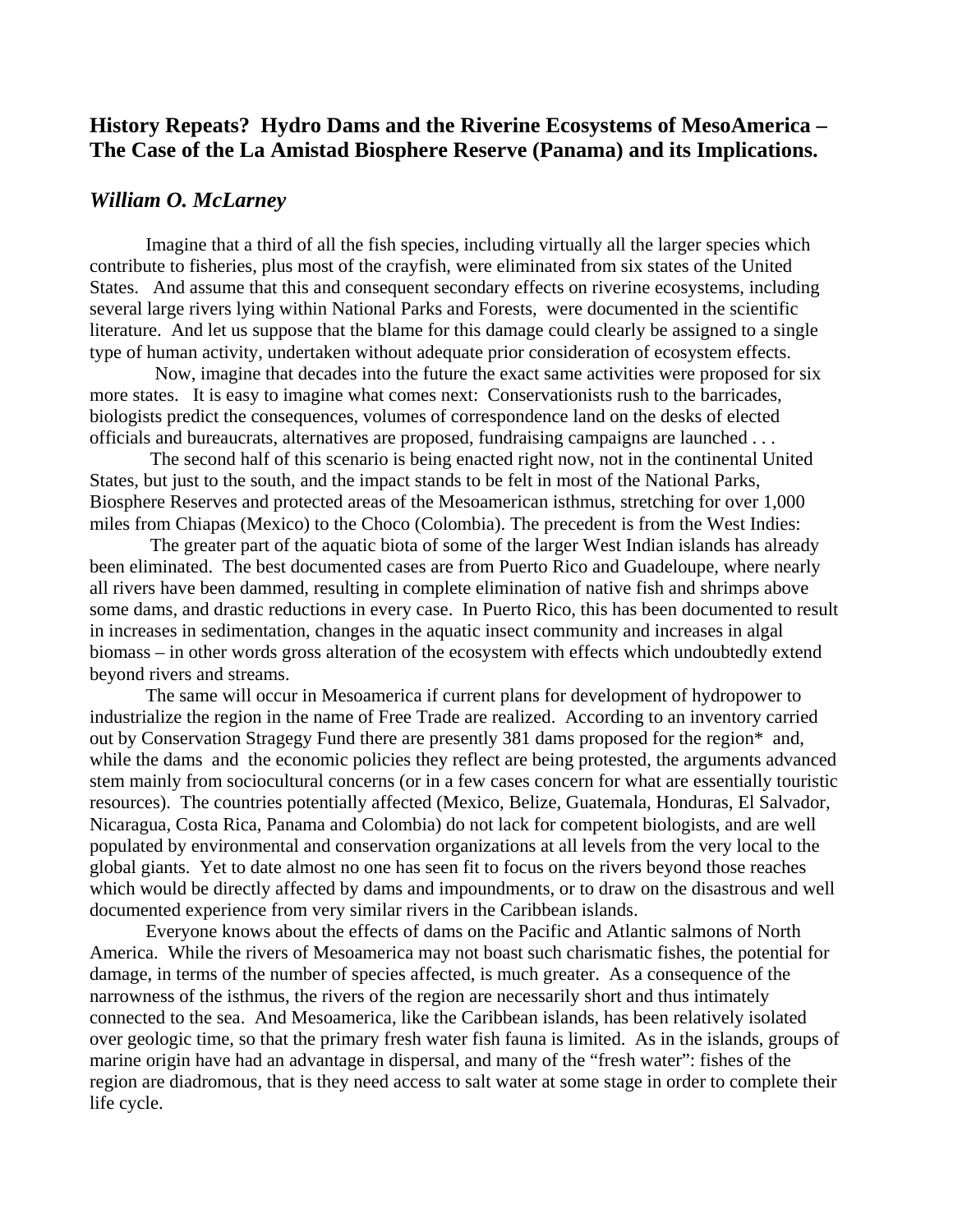## **History Repeats? Hydro Dams and the Riverine Ecosystems of MesoAmerica – The Case of the La Amistad Biosphere Reserve (Panama) and its Implications.**

## *William O. McLarney*

 Imagine that a third of all the fish species, including virtually all the larger species which contribute to fisheries, plus most of the crayfish, were eliminated from six states of the United States. And assume that this and consequent secondary effects on riverine ecosystems, including several large rivers lying within National Parks and Forests, were documented in the scientific literature. And let us suppose that the blame for this damage could clearly be assigned to a single type of human activity, undertaken without adequate prior consideration of ecosystem effects.

 Now, imagine that decades into the future the exact same activities were proposed for six more states. It is easy to imagine what comes next: Conservationists rush to the barricades, biologists predict the consequences, volumes of correspondence land on the desks of elected officials and bureaucrats, alternatives are proposed, fundraising campaigns are launched . . .

 The second half of this scenario is being enacted right now, not in the continental United States, but just to the south, and the impact stands to be felt in most of the National Parks, Biosphere Reserves and protected areas of the Mesoamerican isthmus, stretching for over 1,000 miles from Chiapas (Mexico) to the Choco (Colombia). The precedent is from the West Indies:

 The greater part of the aquatic biota of some of the larger West Indian islands has already been eliminated. The best documented cases are from Puerto Rico and Guadeloupe, where nearly all rivers have been dammed, resulting in complete elimination of native fish and shrimps above some dams, and drastic reductions in every case. In Puerto Rico, this has been documented to result in increases in sedimentation, changes in the aquatic insect community and increases in algal biomass – in other words gross alteration of the ecosystem with effects which undoubtedly extend beyond rivers and streams.

 The same will occur in Mesoamerica if current plans for development of hydropower to industrialize the region in the name of Free Trade are realized. According to an inventory carried out by Conservation Stragegy Fund there are presently 381 dams proposed for the region\* and, while the dams and the economic policies they reflect are being protested, the arguments advanced stem mainly from sociocultural concerns (or in a few cases concern for what are essentially touristic resources). The countries potentially affected (Mexico, Belize, Guatemala, Honduras, El Salvador, Nicaragua, Costa Rica, Panama and Colombia) do not lack for competent biologists, and are well populated by environmental and conservation organizations at all levels from the very local to the global giants. Yet to date almost no one has seen fit to focus on the rivers beyond those reaches which would be directly affected by dams and impoundments, or to draw on the disastrous and well documented experience from very similar rivers in the Caribbean islands.

 Everyone knows about the effects of dams on the Pacific and Atlantic salmons of North America. While the rivers of Mesoamerica may not boast such charismatic fishes, the potential for damage, in terms of the number of species affected, is much greater. As a consequence of the narrowness of the isthmus, the rivers of the region are necessarily short and thus intimately connected to the sea. And Mesoamerica, like the Caribbean islands, has been relatively isolated over geologic time, so that the primary fresh water fish fauna is limited. As in the islands, groups of marine origin have had an advantage in dispersal, and many of the "fresh water": fishes of the region are diadromous, that is they need access to salt water at some stage in order to complete their life cycle.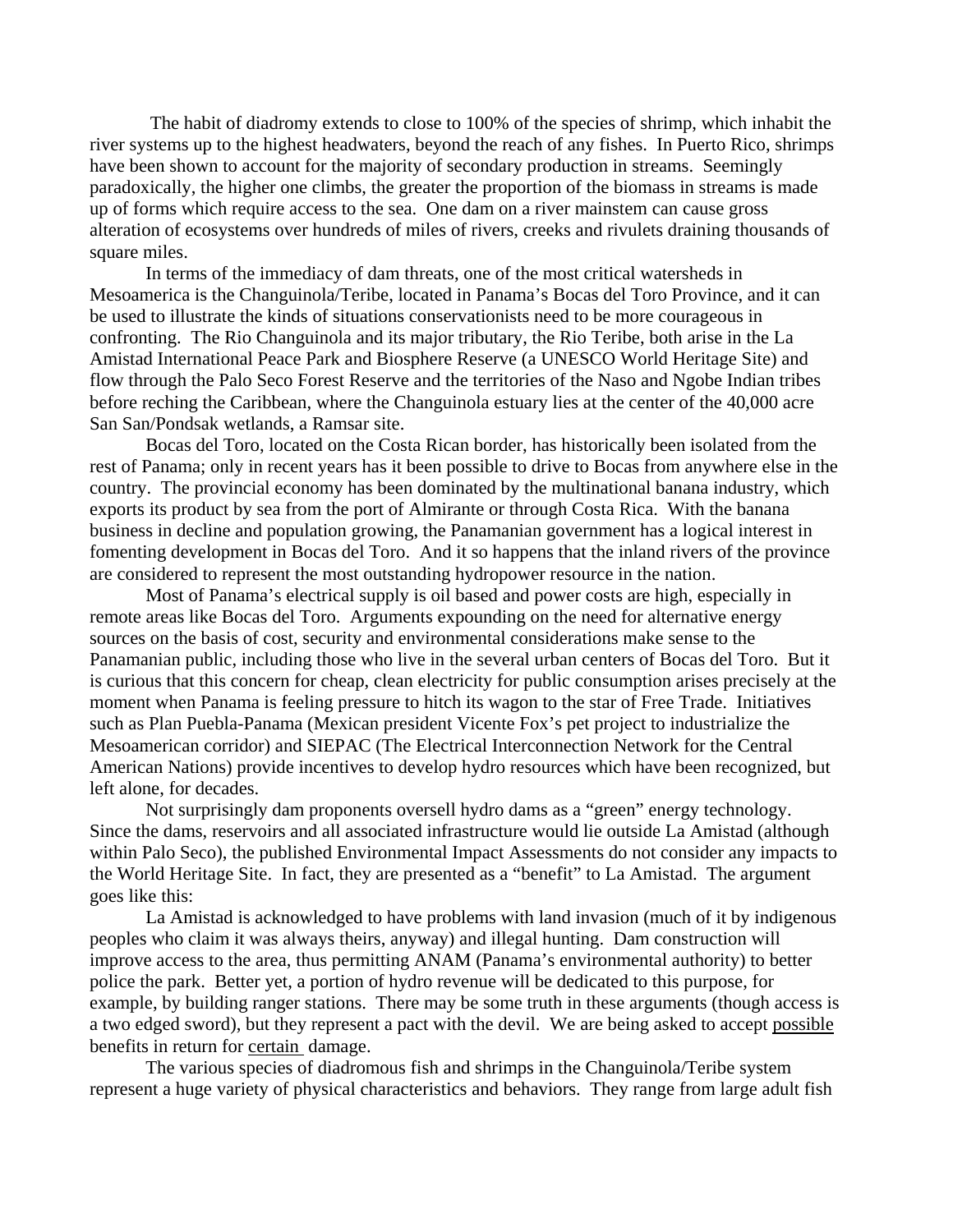The habit of diadromy extends to close to 100% of the species of shrimp, which inhabit the river systems up to the highest headwaters, beyond the reach of any fishes. In Puerto Rico, shrimps have been shown to account for the majority of secondary production in streams. Seemingly paradoxically, the higher one climbs, the greater the proportion of the biomass in streams is made up of forms which require access to the sea. One dam on a river mainstem can cause gross alteration of ecosystems over hundreds of miles of rivers, creeks and rivulets draining thousands of square miles.

In terms of the immediacy of dam threats, one of the most critical watersheds in Mesoamerica is the Changuinola/Teribe, located in Panama's Bocas del Toro Province, and it can be used to illustrate the kinds of situations conservationists need to be more courageous in confronting. The Rio Changuinola and its major tributary, the Rio Teribe, both arise in the La Amistad International Peace Park and Biosphere Reserve (a UNESCO World Heritage Site) and flow through the Palo Seco Forest Reserve and the territories of the Naso and Ngobe Indian tribes before reching the Caribbean, where the Changuinola estuary lies at the center of the 40,000 acre San San/Pondsak wetlands, a Ramsar site.

Bocas del Toro, located on the Costa Rican border, has historically been isolated from the rest of Panama; only in recent years has it been possible to drive to Bocas from anywhere else in the country. The provincial economy has been dominated by the multinational banana industry, which exports its product by sea from the port of Almirante or through Costa Rica. With the banana business in decline and population growing, the Panamanian government has a logical interest in fomenting development in Bocas del Toro. And it so happens that the inland rivers of the province are considered to represent the most outstanding hydropower resource in the nation.

Most of Panama's electrical supply is oil based and power costs are high, especially in remote areas like Bocas del Toro. Arguments expounding on the need for alternative energy sources on the basis of cost, security and environmental considerations make sense to the Panamanian public, including those who live in the several urban centers of Bocas del Toro. But it is curious that this concern for cheap, clean electricity for public consumption arises precisely at the moment when Panama is feeling pressure to hitch its wagon to the star of Free Trade. Initiatives such as Plan Puebla-Panama (Mexican president Vicente Fox's pet project to industrialize the Mesoamerican corridor) and SIEPAC (The Electrical Interconnection Network for the Central American Nations) provide incentives to develop hydro resources which have been recognized, but left alone, for decades.

Not surprisingly dam proponents oversell hydro dams as a "green" energy technology. Since the dams, reservoirs and all associated infrastructure would lie outside La Amistad (although within Palo Seco), the published Environmental Impact Assessments do not consider any impacts to the World Heritage Site. In fact, they are presented as a "benefit" to La Amistad. The argument goes like this:

La Amistad is acknowledged to have problems with land invasion (much of it by indigenous peoples who claim it was always theirs, anyway) and illegal hunting. Dam construction will improve access to the area, thus permitting ANAM (Panama's environmental authority) to better police the park. Better yet, a portion of hydro revenue will be dedicated to this purpose, for example, by building ranger stations. There may be some truth in these arguments (though access is a two edged sword), but they represent a pact with the devil. We are being asked to accept possible benefits in return for certain damage.

The various species of diadromous fish and shrimps in the Changuinola/Teribe system represent a huge variety of physical characteristics and behaviors. They range from large adult fish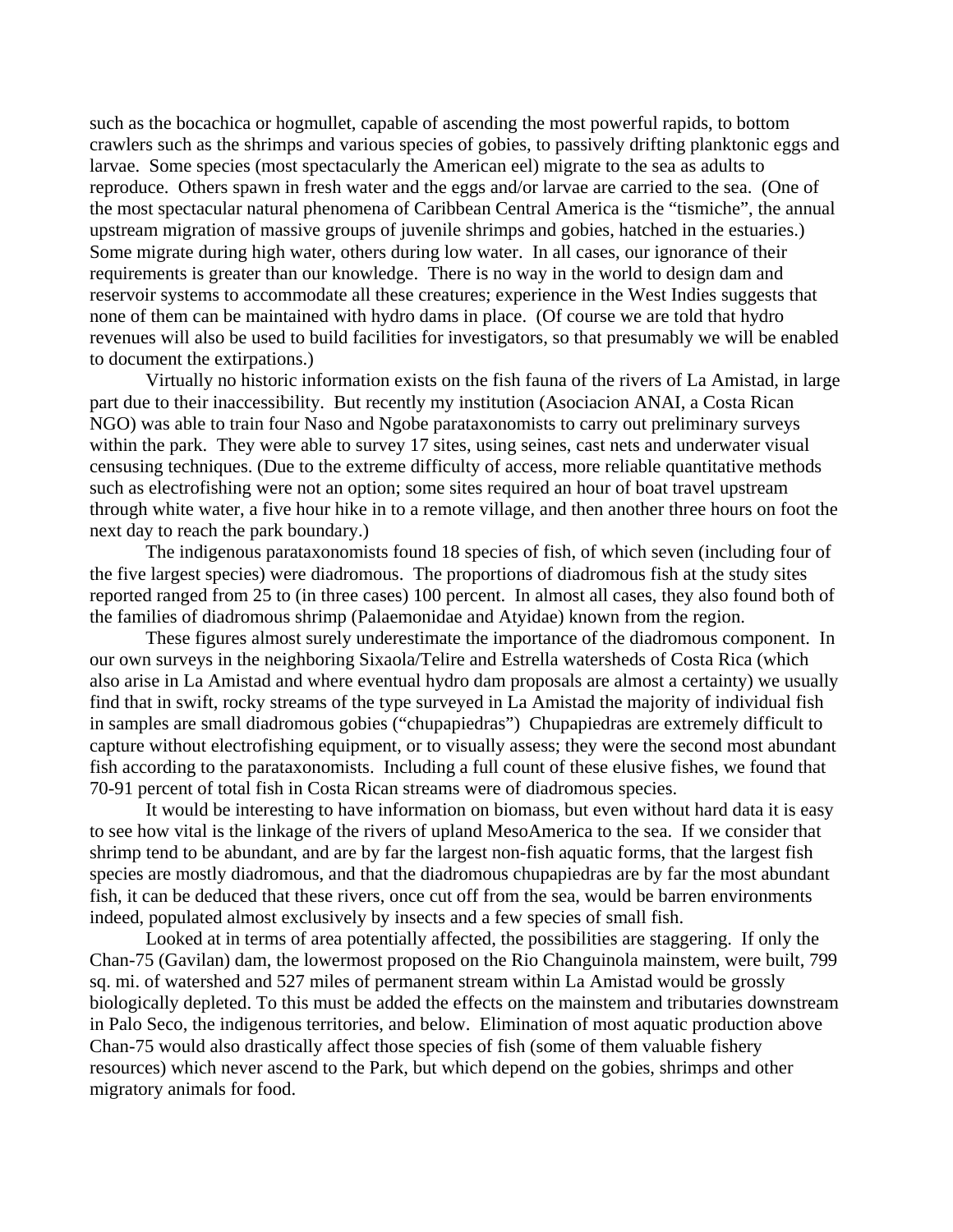such as the bocachica or hogmullet, capable of ascending the most powerful rapids, to bottom crawlers such as the shrimps and various species of gobies, to passively drifting planktonic eggs and larvae. Some species (most spectacularly the American eel) migrate to the sea as adults to reproduce. Others spawn in fresh water and the eggs and/or larvae are carried to the sea. (One of the most spectacular natural phenomena of Caribbean Central America is the "tismiche", the annual upstream migration of massive groups of juvenile shrimps and gobies, hatched in the estuaries.) Some migrate during high water, others during low water. In all cases, our ignorance of their requirements is greater than our knowledge. There is no way in the world to design dam and reservoir systems to accommodate all these creatures; experience in the West Indies suggests that none of them can be maintained with hydro dams in place. (Of course we are told that hydro revenues will also be used to build facilities for investigators, so that presumably we will be enabled to document the extirpations.)

Virtually no historic information exists on the fish fauna of the rivers of La Amistad, in large part due to their inaccessibility. But recently my institution (Asociacion ANAI, a Costa Rican NGO) was able to train four Naso and Ngobe parataxonomists to carry out preliminary surveys within the park. They were able to survey 17 sites, using seines, cast nets and underwater visual censusing techniques. (Due to the extreme difficulty of access, more reliable quantitative methods such as electrofishing were not an option; some sites required an hour of boat travel upstream through white water, a five hour hike in to a remote village, and then another three hours on foot the next day to reach the park boundary.)

The indigenous parataxonomists found 18 species of fish, of which seven (including four of the five largest species) were diadromous. The proportions of diadromous fish at the study sites reported ranged from 25 to (in three cases) 100 percent. In almost all cases, they also found both of the families of diadromous shrimp (Palaemonidae and Atyidae) known from the region.

These figures almost surely underestimate the importance of the diadromous component. In our own surveys in the neighboring Sixaola/Telire and Estrella watersheds of Costa Rica (which also arise in La Amistad and where eventual hydro dam proposals are almost a certainty) we usually find that in swift, rocky streams of the type surveyed in La Amistad the majority of individual fish in samples are small diadromous gobies ("chupapiedras") Chupapiedras are extremely difficult to capture without electrofishing equipment, or to visually assess; they were the second most abundant fish according to the parataxonomists. Including a full count of these elusive fishes, we found that 70-91 percent of total fish in Costa Rican streams were of diadromous species.

It would be interesting to have information on biomass, but even without hard data it is easy to see how vital is the linkage of the rivers of upland MesoAmerica to the sea. If we consider that shrimp tend to be abundant, and are by far the largest non-fish aquatic forms, that the largest fish species are mostly diadromous, and that the diadromous chupapiedras are by far the most abundant fish, it can be deduced that these rivers, once cut off from the sea, would be barren environments indeed, populated almost exclusively by insects and a few species of small fish.

Looked at in terms of area potentially affected, the possibilities are staggering. If only the Chan-75 (Gavilan) dam, the lowermost proposed on the Rio Changuinola mainstem, were built, 799 sq. mi. of watershed and 527 miles of permanent stream within La Amistad would be grossly biologically depleted. To this must be added the effects on the mainstem and tributaries downstream in Palo Seco, the indigenous territories, and below. Elimination of most aquatic production above Chan-75 would also drastically affect those species of fish (some of them valuable fishery resources) which never ascend to the Park, but which depend on the gobies, shrimps and other migratory animals for food.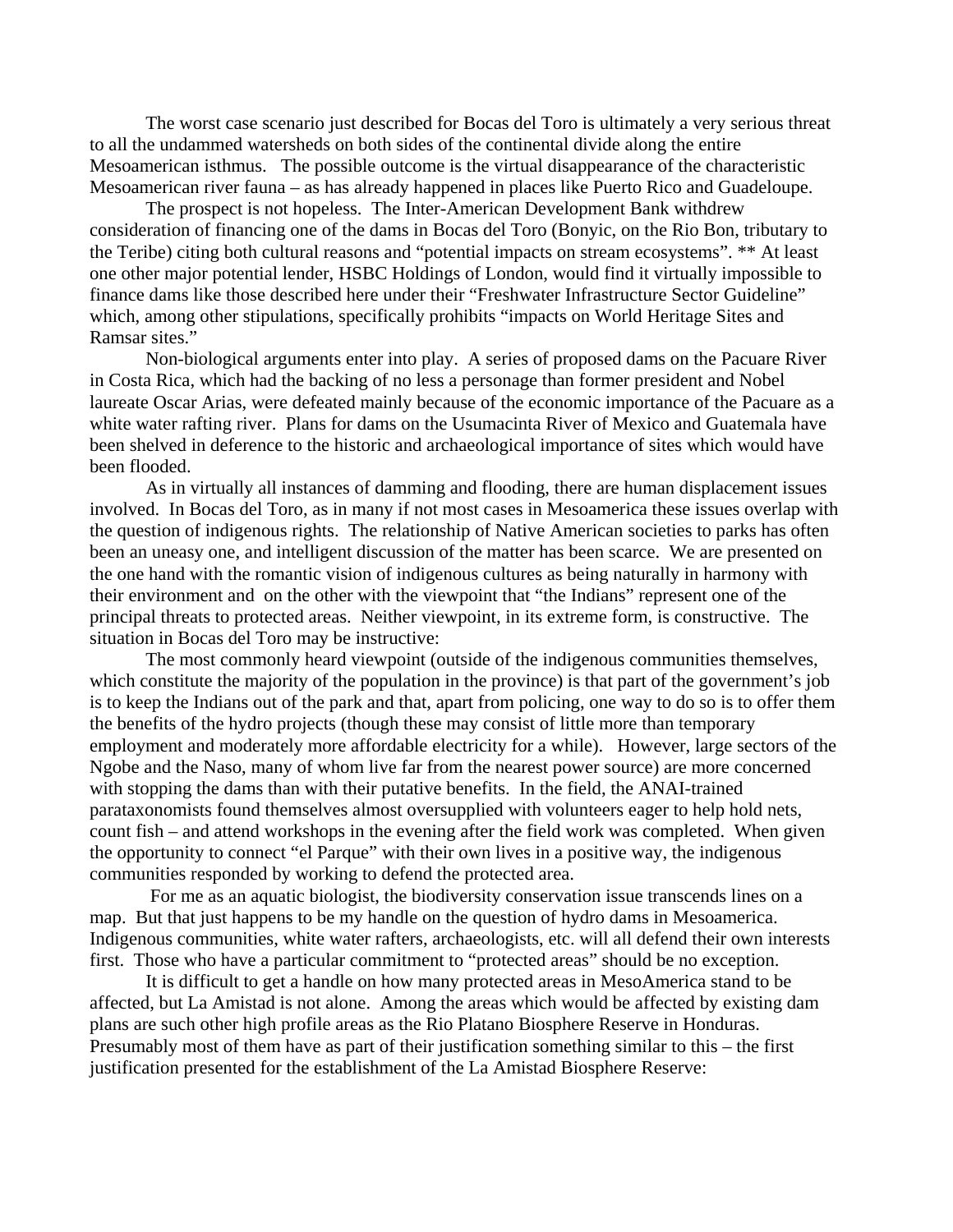The worst case scenario just described for Bocas del Toro is ultimately a very serious threat to all the undammed watersheds on both sides of the continental divide along the entire Mesoamerican isthmus. The possible outcome is the virtual disappearance of the characteristic Mesoamerican river fauna – as has already happened in places like Puerto Rico and Guadeloupe.

The prospect is not hopeless. The Inter-American Development Bank withdrew consideration of financing one of the dams in Bocas del Toro (Bonyic, on the Rio Bon, tributary to the Teribe) citing both cultural reasons and "potential impacts on stream ecosystems". \*\* At least one other major potential lender, HSBC Holdings of London, would find it virtually impossible to finance dams like those described here under their "Freshwater Infrastructure Sector Guideline" which, among other stipulations, specifically prohibits "impacts on World Heritage Sites and Ramsar sites."

Non-biological arguments enter into play. A series of proposed dams on the Pacuare River in Costa Rica, which had the backing of no less a personage than former president and Nobel laureate Oscar Arias, were defeated mainly because of the economic importance of the Pacuare as a white water rafting river. Plans for dams on the Usumacinta River of Mexico and Guatemala have been shelved in deference to the historic and archaeological importance of sites which would have been flooded.

As in virtually all instances of damming and flooding, there are human displacement issues involved. In Bocas del Toro, as in many if not most cases in Mesoamerica these issues overlap with the question of indigenous rights. The relationship of Native American societies to parks has often been an uneasy one, and intelligent discussion of the matter has been scarce. We are presented on the one hand with the romantic vision of indigenous cultures as being naturally in harmony with their environment and on the other with the viewpoint that "the Indians" represent one of the principal threats to protected areas. Neither viewpoint, in its extreme form, is constructive. The situation in Bocas del Toro may be instructive:

The most commonly heard viewpoint (outside of the indigenous communities themselves, which constitute the majority of the population in the province) is that part of the government's job is to keep the Indians out of the park and that, apart from policing, one way to do so is to offer them the benefits of the hydro projects (though these may consist of little more than temporary employment and moderately more affordable electricity for a while). However, large sectors of the Ngobe and the Naso, many of whom live far from the nearest power source) are more concerned with stopping the dams than with their putative benefits. In the field, the ANAI-trained parataxonomists found themselves almost oversupplied with volunteers eager to help hold nets, count fish – and attend workshops in the evening after the field work was completed. When given the opportunity to connect "el Parque" with their own lives in a positive way, the indigenous communities responded by working to defend the protected area.

 For me as an aquatic biologist, the biodiversity conservation issue transcends lines on a map. But that just happens to be my handle on the question of hydro dams in Mesoamerica. Indigenous communities, white water rafters, archaeologists, etc. will all defend their own interests first. Those who have a particular commitment to "protected areas" should be no exception.

It is difficult to get a handle on how many protected areas in MesoAmerica stand to be affected, but La Amistad is not alone. Among the areas which would be affected by existing dam plans are such other high profile areas as the Rio Platano Biosphere Reserve in Honduras. Presumably most of them have as part of their justification something similar to this – the first justification presented for the establishment of the La Amistad Biosphere Reserve: